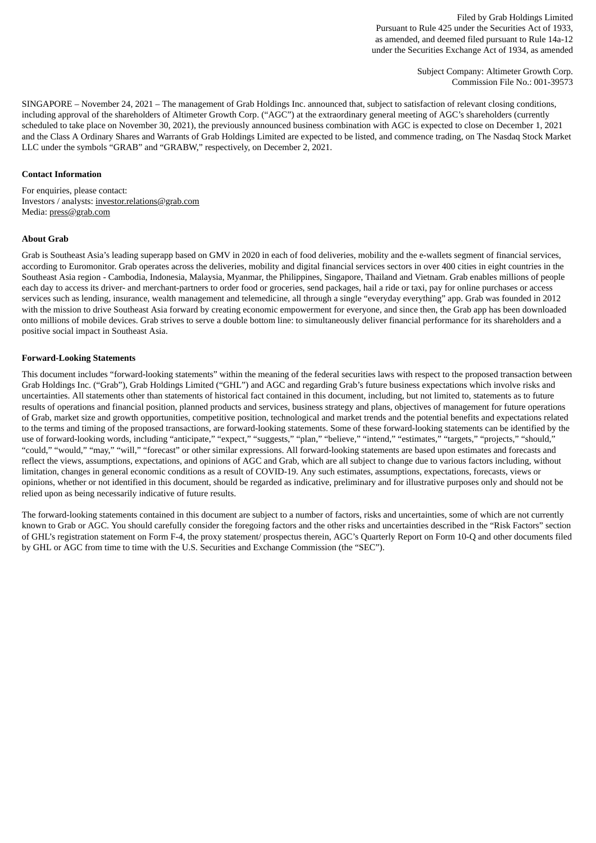Filed by Grab Holdings Limited Pursuant to Rule 425 under the Securities Act of 1933, as amended, and deemed filed pursuant to Rule 14a-12 under the Securities Exchange Act of 1934, as amended

> Subject Company: Altimeter Growth Corp. Commission File No.: 001-39573

SINGAPORE – November 24, 2021 – The management of Grab Holdings Inc. announced that, subject to satisfaction of relevant closing conditions, including approval of the shareholders of Altimeter Growth Corp. ("AGC") at the extraordinary general meeting of AGC's shareholders (currently scheduled to take place on November 30, 2021), the previously announced business combination with AGC is expected to close on December 1, 2021 and the Class A Ordinary Shares and Warrants of Grab Holdings Limited are expected to be listed, and commence trading, on The Nasdaq Stock Market LLC under the symbols "GRAB" and "GRABW," respectively, on December 2, 2021.

### **Contact Information**

For enquiries, please contact: Investors / analysts: investor.relations@grab.com Media: press@grab.com

### **About Grab**

Grab is Southeast Asia's leading superapp based on GMV in 2020 in each of food deliveries, mobility and the e-wallets segment of financial services, according to Euromonitor. Grab operates across the deliveries, mobility and digital financial services sectors in over 400 cities in eight countries in the Southeast Asia region - Cambodia, Indonesia, Malaysia, Myanmar, the Philippines, Singapore, Thailand and Vietnam. Grab enables millions of people each day to access its driver- and merchant-partners to order food or groceries, send packages, hail a ride or taxi, pay for online purchases or access services such as lending, insurance, wealth management and telemedicine, all through a single "everyday everything" app. Grab was founded in 2012 with the mission to drive Southeast Asia forward by creating economic empowerment for everyone, and since then, the Grab app has been downloaded onto millions of mobile devices. Grab strives to serve a double bottom line: to simultaneously deliver financial performance for its shareholders and a positive social impact in Southeast Asia.

### **Forward-Looking Statements**

This document includes "forward-looking statements" within the meaning of the federal securities laws with respect to the proposed transaction between Grab Holdings Inc. ("Grab"), Grab Holdings Limited ("GHL") and AGC and regarding Grab's future business expectations which involve risks and uncertainties. All statements other than statements of historical fact contained in this document, including, but not limited to, statements as to future results of operations and financial position, planned products and services, business strategy and plans, objectives of management for future operations of Grab, market size and growth opportunities, competitive position, technological and market trends and the potential benefits and expectations related to the terms and timing of the proposed transactions, are forward-looking statements. Some of these forward-looking statements can be identified by the use of forward-looking words, including "anticipate," "expect," "suggests," "plan," "believe," "intend," "estimates," "targets," "projects," "should," "could," "would," "may," "will," "forecast" or other similar expressions. All forward-looking statements are based upon estimates and forecasts and reflect the views, assumptions, expectations, and opinions of AGC and Grab, which are all subject to change due to various factors including, without limitation, changes in general economic conditions as a result of COVID-19. Any such estimates, assumptions, expectations, forecasts, views or opinions, whether or not identified in this document, should be regarded as indicative, preliminary and for illustrative purposes only and should not be relied upon as being necessarily indicative of future results.

The forward-looking statements contained in this document are subject to a number of factors, risks and uncertainties, some of which are not currently known to Grab or AGC. You should carefully consider the foregoing factors and the other risks and uncertainties described in the "Risk Factors" section of GHL's registration statement on Form F-4, the proxy statement/ prospectus therein, AGC's Quarterly Report on Form 10-Q and other documents filed by GHL or AGC from time to time with the U.S. Securities and Exchange Commission (the "SEC").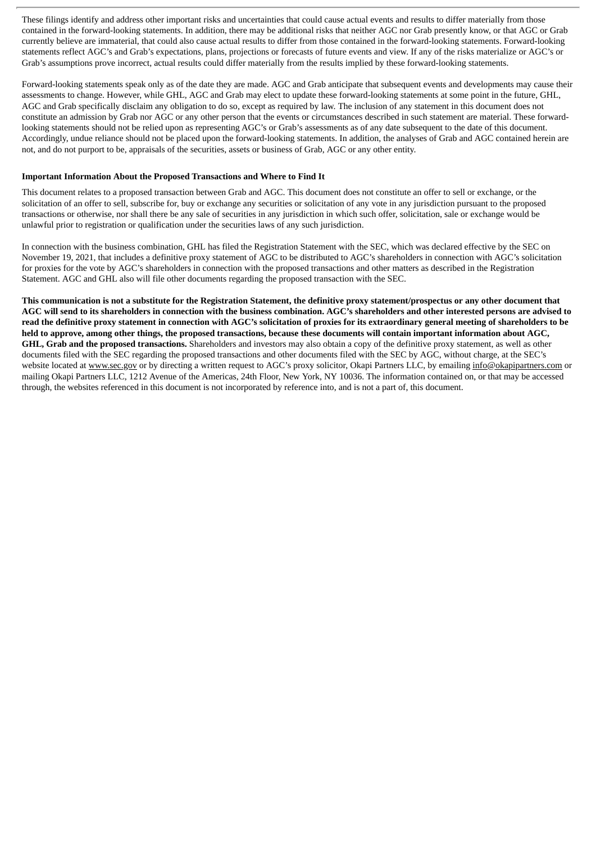These filings identify and address other important risks and uncertainties that could cause actual events and results to differ materially from those contained in the forward-looking statements. In addition, there may be additional risks that neither AGC nor Grab presently know, or that AGC or Grab currently believe are immaterial, that could also cause actual results to differ from those contained in the forward-looking statements. Forward-looking statements reflect AGC's and Grab's expectations, plans, projections or forecasts of future events and view. If any of the risks materialize or AGC's or Grab's assumptions prove incorrect, actual results could differ materially from the results implied by these forward-looking statements.

Forward-looking statements speak only as of the date they are made. AGC and Grab anticipate that subsequent events and developments may cause their assessments to change. However, while GHL, AGC and Grab may elect to update these forward-looking statements at some point in the future, GHL, AGC and Grab specifically disclaim any obligation to do so, except as required by law. The inclusion of any statement in this document does not constitute an admission by Grab nor AGC or any other person that the events or circumstances described in such statement are material. These forwardlooking statements should not be relied upon as representing AGC's or Grab's assessments as of any date subsequent to the date of this document. Accordingly, undue reliance should not be placed upon the forward-looking statements. In addition, the analyses of Grab and AGC contained herein are not, and do not purport to be, appraisals of the securities, assets or business of Grab, AGC or any other entity.

## **Important Information About the Proposed Transactions and Where to Find It**

This document relates to a proposed transaction between Grab and AGC. This document does not constitute an offer to sell or exchange, or the solicitation of an offer to sell, subscribe for, buy or exchange any securities or solicitation of any vote in any jurisdiction pursuant to the proposed transactions or otherwise, nor shall there be any sale of securities in any jurisdiction in which such offer, solicitation, sale or exchange would be unlawful prior to registration or qualification under the securities laws of any such jurisdiction.

In connection with the business combination, GHL has filed the Registration Statement with the SEC, which was declared effective by the SEC on November 19, 2021, that includes a definitive proxy statement of AGC to be distributed to AGC's shareholders in connection with AGC's solicitation for proxies for the vote by AGC's shareholders in connection with the proposed transactions and other matters as described in the Registration Statement. AGC and GHL also will file other documents regarding the proposed transaction with the SEC.

This communication is not a substitute for the Registration Statement, the definitive proxy statement/prospectus or any other document that AGC will send to its shareholders in connection with the business combination. AGC's shareholders and other interested persons are advised to read the definitive proxy statement in connection with AGC's solicitation of proxies for its extraordinary general meeting of shareholders to be held to approve, among other things, the proposed transactions, because these documents will contain important information about AGC, **GHL, Grab and the proposed transactions.** Shareholders and investors may also obtain a copy of the definitive proxy statement, as well as other documents filed with the SEC regarding the proposed transactions and other documents filed with the SEC by AGC, without charge, at the SEC's website located at www.sec.gov or by directing a written request to AGC's proxy solicitor, Okapi Partners LLC, by emailing info@okapipartners.com or mailing Okapi Partners LLC, 1212 Avenue of the Americas, 24th Floor, New York, NY 10036. The information contained on, or that may be accessed through, the websites referenced in this document is not incorporated by reference into, and is not a part of, this document.